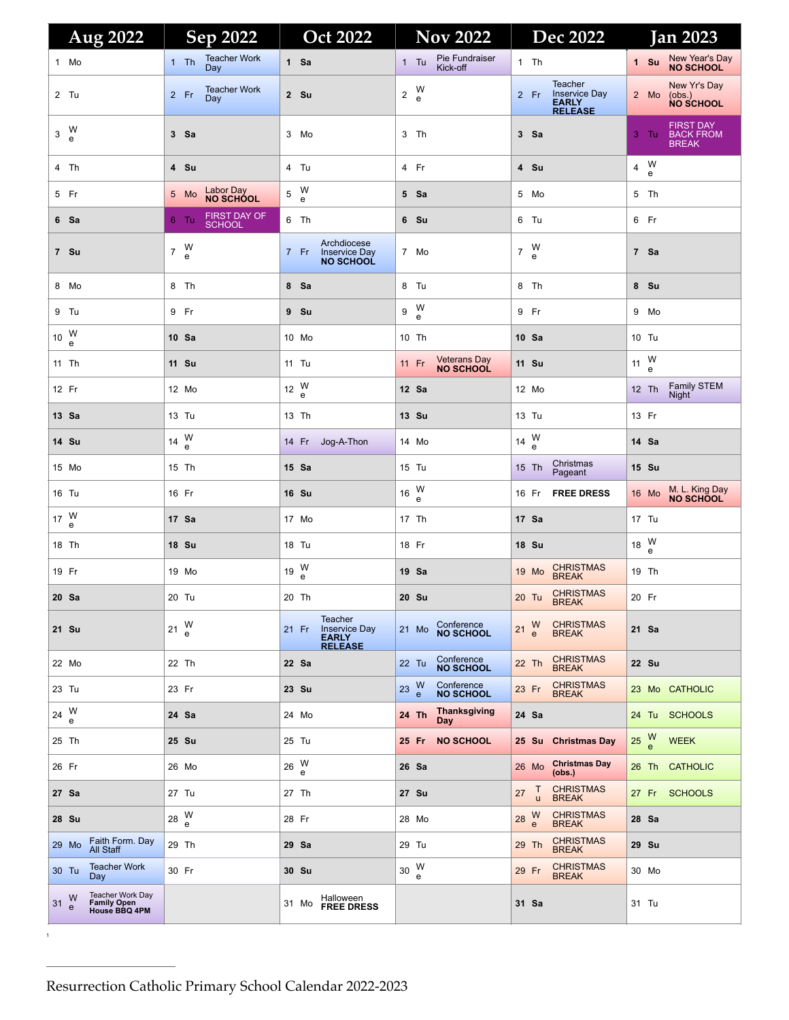| Aug 2022                                                      | Sep 2022                                | <b>Oct 2022</b>                                                 | <b>Nov 2022</b>                                | <b>Dec 2022</b>                                                                  | <b>Jan 2023</b>                                              |
|---------------------------------------------------------------|-----------------------------------------|-----------------------------------------------------------------|------------------------------------------------|----------------------------------------------------------------------------------|--------------------------------------------------------------|
| 1 Mo                                                          | <b>Teacher Work</b><br>$1$ Th<br>Day    | 1 Sa                                                            | Pie Fundraiser<br>$1$ Tu<br>Kick-off           | $1$ Th                                                                           | New Year's Day<br>NO SCHOOL<br>1 Su                          |
| 2 Tu                                                          | <b>Teacher Work</b><br>$2$ Fr<br>Day    | 2 Su                                                            | W<br>e<br>$\overline{2}$                       | <b>Teacher</b><br><b>Inservice Day</b><br>2 Fr<br><b>EARLY</b><br><b>RELEASE</b> | New Yr's Day<br>2 Mo<br>(obs.)<br><b>NO SCHOOL</b>           |
| $3\frac{W}{e}$                                                | 3 Sa                                    | 3 Mo                                                            | 3 Th                                           | 3 Sa                                                                             | <b>FIRST DAY</b><br><b>BACK FROM</b><br>3 Tu<br><b>BREAK</b> |
| 4 Th                                                          | 4 Su                                    | 4 Tu                                                            | 4 Fr                                           | 4 Su                                                                             | W<br>$\overline{4}$<br>e                                     |
| 5 Fr                                                          | Labor Day<br>NO SCHOOL<br>5 Mo          | W<br>e<br>5                                                     | 5 Sa                                           | 5 Mo                                                                             | 5 Th                                                         |
| 6 Sa                                                          | FIRST DAY OF<br>$6$ Tu<br><b>SCHOOL</b> | 6 Th                                                            | 6 Su                                           | 6 Tu                                                                             | 6 Fr                                                         |
| 7 Su                                                          | $7\frac{W}{e}$                          | Archdiocese<br><b>Inservice Day</b><br>7 Fr<br><b>NO SCHOOL</b> | 7 Mo                                           | W<br>$\overline{7}$<br>e                                                         | 7 Sa                                                         |
| 8 Mo                                                          | 8 Th                                    | 8 Sa                                                            | 8 Tu                                           | 8 Th                                                                             | 8 Su                                                         |
| 9 Tu                                                          | 9 Fr                                    | 9 Su                                                            | W<br>9<br>e                                    | 9 Fr                                                                             | 9 Mo                                                         |
| 10 $\frac{W}{e}$                                              | 10 Sa                                   | 10 Mo                                                           | 10 Th                                          | 10 Sa                                                                            | 10 Tu                                                        |
| 11 Th                                                         | 11 Su                                   | 11 Tu                                                           | Veterans Day<br>NO SCHOOL<br>11 Fr             | 11 Su                                                                            | 11 $_{e}^{W}$                                                |
| 12 Fr                                                         | 12 Mo                                   | 12 $_{e}^{W}$                                                   | 12 Sa                                          | 12 Mo                                                                            | <b>Family STEM</b><br>12 Th<br><b>Night</b>                  |
| 13 Sa                                                         | 13 Tu                                   | 13 Th                                                           | 13 Su                                          | 13 Tu                                                                            | 13 Fr                                                        |
| 14 Su                                                         | 14 $_{e}^{W}$                           | 14 Fr Jog-A-Thon                                                | 14 Mo                                          | 14 $_{e}^{W}$                                                                    | 14 Sa                                                        |
| 15 Mo                                                         | 15 Th                                   | 15 Sa                                                           | 15 Tu                                          | Christmas<br>15 Th<br>Pageant                                                    | 15 Su                                                        |
| 16 Tu                                                         | 16 Fr                                   | 16 Su                                                           | 16 $_{e}^{W}$                                  | <b>FREE DRESS</b><br>16 Fr                                                       | M. L. King Day<br>NO SCHOOL<br>16 Mo                         |
| 17 $_{e}^{W}$                                                 | 17 Sa                                   | 17 Mo                                                           | 17 Th                                          | 17 Sa                                                                            | 17 Tu                                                        |
| 18 Th                                                         | 18 Su                                   | 18 Tu                                                           | 18 Fr                                          | <b>18 Su</b>                                                                     | 18 $_{e}^{W}$                                                |
| 19 Fr                                                         | 19 Mo                                   | 19 $_{e}^{W}$                                                   | 19 Sa                                          | <b>CHRISTMAS</b><br>19 Mo<br><b>BREAK</b>                                        | 19 Th                                                        |
| 20 Sa                                                         | 20 Tu                                   | 20 Th                                                           | 20 Su                                          | <b>CHRISTMAS</b><br>20 Tu<br><b>BREAK</b>                                        | 20 Fr                                                        |
| 21 Su                                                         | W<br>21<br>e                            | Teacher<br>Inservice Day<br>EARLY<br>21 Fr<br><b>RELEASE</b>    | Conference<br>NO SCHOOL<br>21 Mo               | <b>CHRISTMAS</b><br>W<br>21<br>$\mathbf{e}$<br><b>BREAK</b>                      | 21 Sa                                                        |
| 22 Mo                                                         | 22 Th                                   | 22 Sa                                                           | Conference<br>NO SCHOOL<br>22 Tu               | <b>CHRISTMAS</b><br>22 Th<br><b>BREAK</b>                                        | 22 Su                                                        |
| 23 Tu                                                         | 23 Fr                                   | 23 Su                                                           | Conference<br>NO SCHOOL<br>$\frac{W}{e}$<br>23 | <b>CHRISTMAS</b><br>23 Fr<br><b>BREAK</b>                                        | 23 Mo CATHOLIC                                               |
| 24 W                                                          | 24 Sa                                   | 24 Mo                                                           | <b>Thanksgiving</b><br>24 Th<br>Day            | 24 Sa                                                                            | 24 Tu SCHOOLS                                                |
| 25 Th                                                         | 25 Su                                   | 25 Tu                                                           | <b>NO SCHOOL</b><br>25 Fr                      | 25 Su Christmas Day                                                              | $\frac{W}{e}$<br>25<br><b>WEEK</b>                           |
| 26 Fr                                                         | 26 Mo                                   | $26\frac{W}{e}$                                                 | 26 Sa                                          | <b>Christmas Day</b><br>26 Mo<br>(obs.)                                          | 26 Th CATHOLIC                                               |
| 27 Sa                                                         | 27 Tu                                   | 27 Th                                                           | 27 Su                                          | CHRISTMAS<br>BREAK<br>T<br>27<br>u                                               | 27 Fr SCHOOLS                                                |
| 28 Su                                                         | 28 $_{e}^{W}$                           | 28 Fr                                                           | 28 Mo                                          | <b>CHRISTMAS</b><br>28 W<br>$\mathbf{e}$<br><b>BREAK</b>                         | 28 Sa                                                        |
| Faith Form. Day<br>29 Mo<br>All Staff                         | 29 Th                                   | 29 Sa                                                           | 29 Tu                                          | <b>CHRISTMAS</b><br>29 Th<br><b>BREAK</b>                                        | 29 Su                                                        |
| <b>Teacher Work</b><br>30 Tu<br>Day                           | 30 Fr                                   | 30 Su                                                           | 30 W<br>e                                      | <b>CHRISTMAS</b><br>29 Fr<br><b>BREAK</b>                                        | 30 Mo                                                        |
| Teacher Work Day<br>Family Open<br>House BBQ 4PM<br>31 W<br>e |                                         | Halloween<br>31 Mo<br><b>FREE DRESS</b>                         |                                                | 31 Sa                                                                            | 31 Tu                                                        |

1